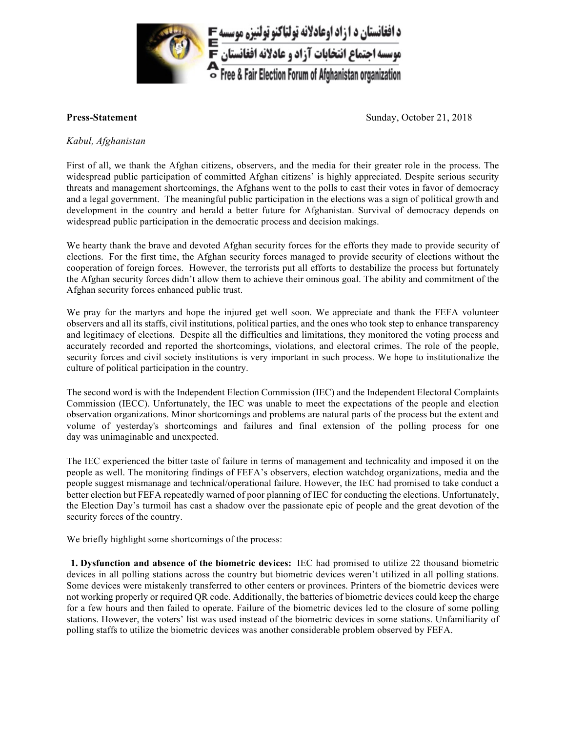

**Press-Statement** Sunday, October 21, 2018

## *Kabul,'Afghanistan*

First of all, we thank the Afghan citizens, observers, and the media for their greater role in the process. The widespread public participation of committed Afghan citizens' is highly appreciated. Despite serious security threats and management shortcomings, the Afghans went to the polls to cast their votes in favor of democracy and a legal government. The meaningful public participation in the elections was a sign of political growth and development in the country and herald a better future for Afghanistan. Survival of democracy depends on widespread public participation in the democratic process and decision makings.

We hearty thank the brave and devoted Afghan security forces for the efforts they made to provide security of elections. For the first time, the Afghan security forces managed to provide security of elections without the cooperation of foreign forces. However, the terrorists put all efforts to destabilize the process but fortunately the Afghan security forces didn't allow them to achieve their ominous goal. The ability and commitment of the Afghan security forces enhanced public trust.

We pray for the martyrs and hope the injured get well soon. We appreciate and thank the FEFA volunteer observers and all its staffs, civil institutions, political parties, and the ones who took step to enhance transparency and legitimacy of elections. Despite all the difficulties and limitations, they monitored the voting process and accurately recorded and reported the shortcomings, violations, and electoral crimes. The role of the people, security forces and civil society institutions is very important in such process. We hope to institutionalize the culture of political participation in the country.

The second word is with the Independent Election Commission (IEC) and the Independent Electoral Complaints Commission (IECC). Unfortunately, the IEC was unable to meet the expectations of the people and election observation organizations. Minor shortcomings and problems are natural parts of the process but the extent and volume of yesterday's shortcomings and failures and final extension of the polling process for one day was unimaginable and unexpected.

The IEC experienced the bitter taste of failure in terms of management and technicality and imposed it on the people as well. The monitoring findings of FEFA's observers, election watchdog organizations, media and the people suggest mismanage and technical/operational failure. However, the IEC had promised to take conduct a better election but FEFA repeatedly warned of poor planning of IEC for conducting the elections. Unfortunately, the Election Day's turmoil has cast a shadow over the passionate epic of people and the great devotion of the security forces of the country.

We briefly highlight some shortcomings of the process:

**1. Dysfunction and absence of the biometric devices:** IEC had promised to utilize 22 thousand biometric devices in all polling stations across the country but biometric devices weren't utilized in all polling stations. Some devices were mistakenly transferred to other centers or provinces. Printers of the biometric devices were not working properly or required OR code. Additionally, the batteries of biometric devices could keep the charge for a few hours and then failed to operate. Failure of the biometric devices led to the closure of some polling stations. However, the voters' list was used instead of the biometric devices in some stations. Unfamiliarity of polling staffs to utilize the biometric devices was another considerable problem observed by FEFA.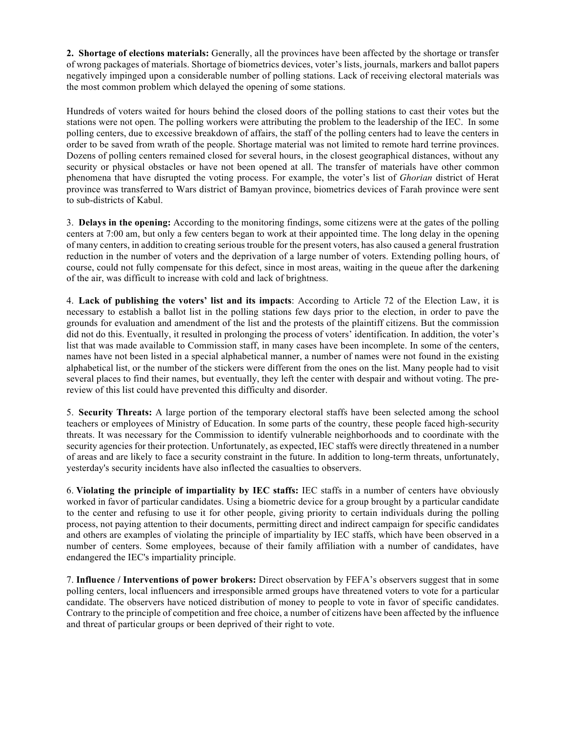**2. Shortage of elections materials:** Generally, all the provinces have been affected by the shortage or transfer of wrong packages of materials. Shortage of biometrics devices, voter's lists, journals, markers and ballot papers negatively impinged upon a considerable number of polling stations. Lack of receiving electoral materials was the most common problem which delayed the opening of some stations.

Hundreds of voters waited for hours behind the closed doors of the polling stations to cast their votes but the stations were not open. The polling workers were attributing the problem to the leadership of the IEC. In some polling centers, due to excessive breakdown of affairs, the staff of the polling centers had to leave the centers in order to be saved from wrath of the people. Shortage material was not limited to remote hard terrine provinces. Dozens of polling centers remained closed for several hours, in the closest geographical distances, without any security or physical obstacles or have not been opened at all. The transfer of materials have other common phenomena that have disrupted the voting process. For example, the voter's list of *Ghorian* district of Herat province was transferred to Wars district of Bamyan province, biometrics devices of Farah province were sent to sub-districts of Kabul.

3. **Delays in the opening:** According to the monitoring findings, some citizens were at the gates of the polling centers at 7:00 am, but only a few centers began to work at their appointed time. The long delay in the opening of many centers, in addition to creating serious trouble for the present voters, has also caused a general frustration reduction in the number of voters and the deprivation of a large number of voters. Extending polling hours, of course, could not fully compensate for this defect, since in most areas, waiting in the queue after the darkening of the air, was difficult to increase with cold and lack of brightness.

4. Lack of publishing the voters' list and its impacts: According to Article 72 of the Election Law, it is necessary to establish a ballot list in the polling stations few days prior to the election, in order to pave the grounds for evaluation and amendment of the list and the protests of the plaintiff citizens. But the commission did not do this. Eventually, it resulted in prolonging the process of voters' identification. In addition, the voter's list that was made available to Commission staff, in many cases have been incomplete. In some of the centers, halve not been listed in a special alphabetical manner, a number of names were not found in the existing alphabetical list, or the number of the stickers were different from the ones on the list. Many people had to visit several places to find their names, but eventually, they left the center with despair and without voting. The prereview of this list could have prevented this difficulty and disorder.

5. **Security Threats:** A large portion of the temporary electoral staffs have been selected among the school teachers or employees of Ministry of Education. In some parts of the country, these people faced high-security threats. It was necessary for the Commission to identify vulnerable neighborhoods and to coordinate with the security agencies for their protection. Unfortunately, as expected, IEC staffs were directly threatened in a number of areas and are likely to face a security constraint in the future. In addition to long-term threats, unfortunately, yesterday's security incidents have also inflected the casualties to observers.

6. **Violating the principle of impartiality by IEC staffs:** IEC staffs in a number of centers have obviously worked in favor of particular candidates. Using a biometric device for a group brought by a particular candidate to the center and refusing to use it for other people, giving priority to certain individuals during the polling process, not paying attention to their documents, permitting direct and indirect campaign for specific candidates and others are examples of violating the principle of impartiality by IEC staffs, which have been observed in a number of centers. Some employees, because of their family affiliation with a number of candidates, have endangered the IEC's impartiality principle.

7. **Influence / Interventions of power brokers:** Direct observation by FEFA's observers suggest that in some polling centers, local influencers and irresponsible armed groups have threatened voters to vote for a particular candidate. The observers have noticed distribution of money to people to vote in favor of specific candidates. Contrary to the principle of competition and free choice, a number of citizens have been affected by the influence and threat of particular groups or been deprived of their right to vote.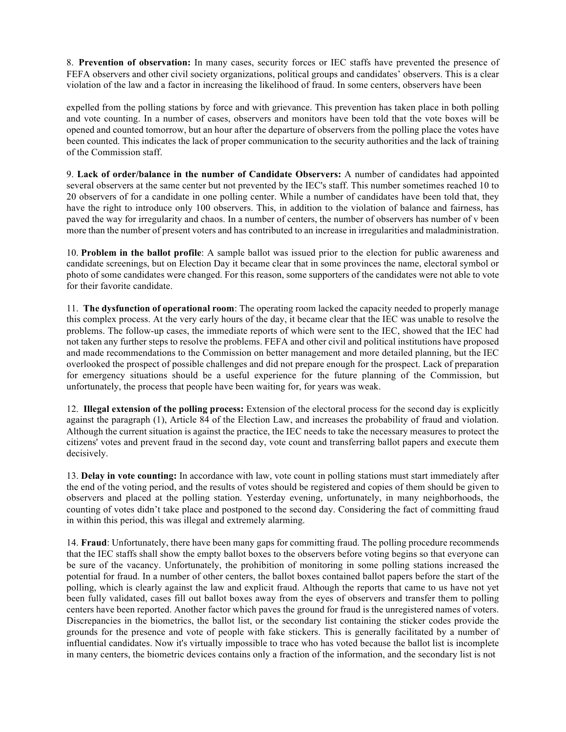8. **Prevention of observation:** In many cases, security forces or IEC staffs have prevented the presence of FEFA observers and other civil society organizations, political groups and candidates' observers. This is a clear violation of the law and a factor in increasing the likelihood of fraud. In some centers, observers have been

expelled from the polling stations by force and with grievance. This prevention has taken place in both polling and vote counting. In a number of cases, observers and monitors have been told that the vote boxes will be opened and counted tomorrow, but an hour after the departure of observers from the polling place the votes have been counted. This indicates the lack of proper communication to the security authorities and the lack of training of the Commission staff.

9. Lack of order/balance in the number of Candidate Observers: A number of candidates had appointed several observers at the same center but not prevented by the IEC's staff. This number sometimes reached 10 to 20 observers of for a candidate in one polling center. While a number of candidates have been told that, they have the right to introduce only 100 observers. This, in addition to the violation of balance and fairness, has paved the way for irregularity and chaos. In a number of centers, the number of observers has number of v been more than the number of present voters and has contributed to an increase in irregularities and maladministration.

10. **Problem in the ballot profile**: A sample ballot was issued prior to the election for public awareness and candidate screenings, but on Election Day it became clear that in some provinces the name, electoral symbol or photo of some candidates were changed. For this reason, some supporters of the candidates were not able to vote for their favorite candidate.

11. **The dysfunction of operational room**: The operating room lacked the capacity needed to properly manage this complex process. At the very early hours of the day, it became clear that the IEC was unable to resolve the problems. The follow-up cases, the immediate reports of which were sent to the IEC, showed that the IEC had not taken any further steps to resolve the problems. FEFA and other civil and political institutions have proposed and made recommendations to the Commission on better management and more detailed planning, but the IEC overlooked the prospect of possible challenges and did not prepare enough for the prospect. Lack of preparation for emergency situations should be a useful experience for the future planning of the Commission, but unfortunately, the process that people have been waiting for, for years was weak.

12. **Illegal extension of the polling process:** Extension of the electoral process for the second day is explicitly against the paragraph (1), Article 84 of the Election Law, and increases the probability of fraud and violation. Although the current situation is against the practice, the IEC needs to take the necessary measures to protect the citizens' votes and prevent fraud in the second day, vote count and transferring ballot papers and execute them decisively.

13. **Delay in vote counting:** In accordance with law, vote count in polling stations must start immediately after the end of the voting period, and the results of votes should be registered and copies of them should be given to observers and placed at the polling station. Yesterday evening, unfortunately, in many neighborhoods, the counting of votes didn't take place and postponed to the second day. Considering the fact of committing fraud in within this period, this was illegal and extremely alarming.

14. **Fraud**: Unfortunately, there have been many gaps for committing fraud. The polling procedure recommends that the IEC staffs shall show the empty ballot boxes to the observers before voting begins so that everyone can be sure of the vacancy. Unfortunately, the prohibition of monitoring in some polling stations increased the potential for fraud. In a number of other centers, the ballot boxes contained ballot papers before the start of the polling, which is clearly against the law and explicit fraud. Although the reports that came to us have not yet been fully validated, cases fill out ballot boxes away from the eyes of observers and transfer them to polling centers have been reported. Another factor which paves the ground for fraud is the unregistered names of voters. Discrepancies in the biometrics, the ballot list, or the secondary list containing the sticker codes provide the grounds for the presence and vote of people with fake stickers. This is generally facilitated by a number of influential candidates. Now it's virtually impossible to trace who has voted because the ballot list is incomplete in many centers, the biometric devices contains only a fraction of the information, and the secondary list is not